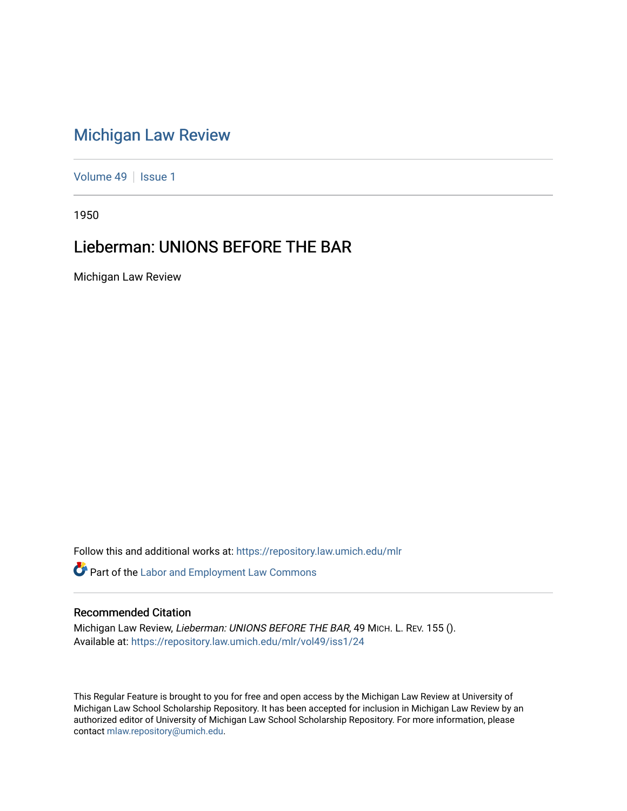## [Michigan Law Review](https://repository.law.umich.edu/mlr)

[Volume 49](https://repository.law.umich.edu/mlr/vol49) | [Issue 1](https://repository.law.umich.edu/mlr/vol49/iss1)

1950

## Lieberman: UNIONS BEFORE THE BAR

Michigan Law Review

Follow this and additional works at: [https://repository.law.umich.edu/mlr](https://repository.law.umich.edu/mlr?utm_source=repository.law.umich.edu%2Fmlr%2Fvol49%2Fiss1%2F24&utm_medium=PDF&utm_campaign=PDFCoverPages) 

Part of the [Labor and Employment Law Commons](http://network.bepress.com/hgg/discipline/909?utm_source=repository.law.umich.edu%2Fmlr%2Fvol49%2Fiss1%2F24&utm_medium=PDF&utm_campaign=PDFCoverPages)

## Recommended Citation

Michigan Law Review, Lieberman: UNIONS BEFORE THE BAR, 49 MICH. L. REV. 155 (). Available at: [https://repository.law.umich.edu/mlr/vol49/iss1/24](https://repository.law.umich.edu/mlr/vol49/iss1/24?utm_source=repository.law.umich.edu%2Fmlr%2Fvol49%2Fiss1%2F24&utm_medium=PDF&utm_campaign=PDFCoverPages) 

This Regular Feature is brought to you for free and open access by the Michigan Law Review at University of Michigan Law School Scholarship Repository. It has been accepted for inclusion in Michigan Law Review by an authorized editor of University of Michigan Law School Scholarship Repository. For more information, please contact [mlaw.repository@umich.edu](mailto:mlaw.repository@umich.edu).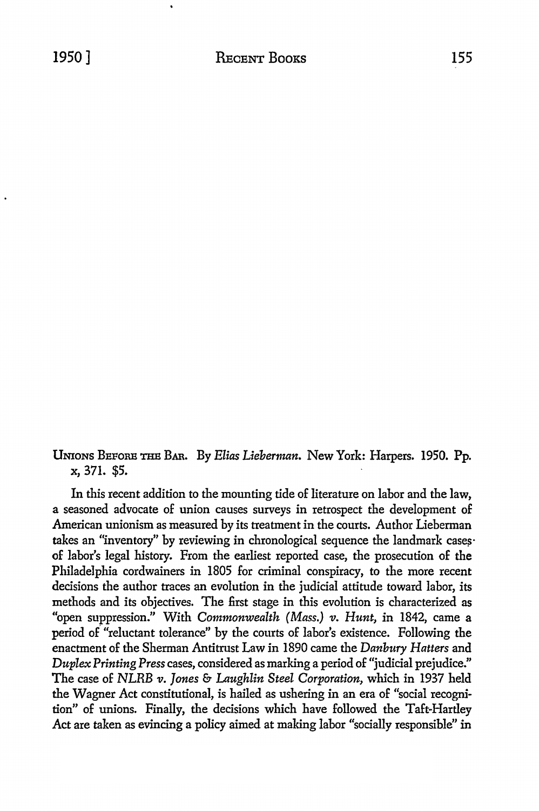UNIONS BEFORE THB BAR. By *Elias Lieberman.* New York: Harpers. 1950. Pp. x, 371. \$5.

In this recent addition to the mounting tide of literature on labor and the law, **a** seasoned advocate of union causes surveys in retrospect the development of American unionism as measured by its treatment in the courts. Author Lieberman takes an "inventory" by reviewing in chronological sequence the landmark casesof labor's legal history. From the earliest reported case, the prosecution of the Philadelphia cordwainers in 1805 for criminal conspiracy, to the more recent decisions the author traces an evolution in the judicial attitude toward labor, its methods and its objectives. The first stage in this evolution is characterized as "open suppression." With *Commonwealth (Mass.) v. Hunt,* in 1842, came a period of "reluctant tolerance" by the courts of labor's existence. Following the enactment of the Sherman Antitrust Law in 1890 came the *Danbury Hatters* and *Duplex Printing Press cases,* considered as marking a period of "judicial prejudice." The case of NLRB *v. Jones* & *Laughlin Steel Corporation,* which in 1937 held the Wagner Act constitutional, is hailed as ushering in an era of "social recognition" of unions. Fina11y, the decisions which have followed the Taft-Hartley Act are taken as evincing a policy aimed at making labor "socially responsible" in